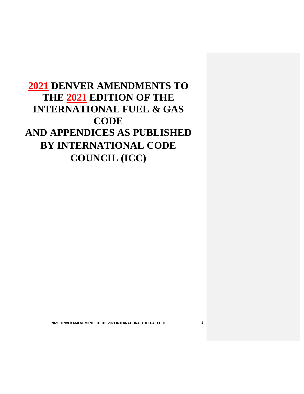# **2021 DENVER AMENDMENTS TO THE 2021 EDITION OF THE INTERNATIONAL FUEL & GAS CODE AND APPENDICES AS PUBLISHED BY INTERNATIONAL CODE COUNCIL (ICC)**

 **2021 DENVER AMENDMENTS TO THE 2021 INTERNATIONAL FUEL GAS CODE** 1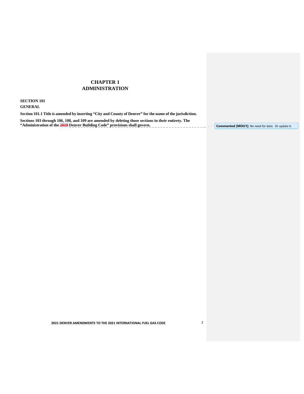# **CHAPTER 1 ADMINISTRATION**

## **SECTION 101**

# **GENERAL**

**Section 101.1 Title is amended by inserting "City and County of Denver" for the name of the jurisdiction.** 

**Sections 103 through 106, 108, and 109 are amended by deleting those sections in their entirety. The "Administration of the 2019 Denver Building Code" provisions shall govern.** 

**Commented [MOU1]:** No need for date. Or update it.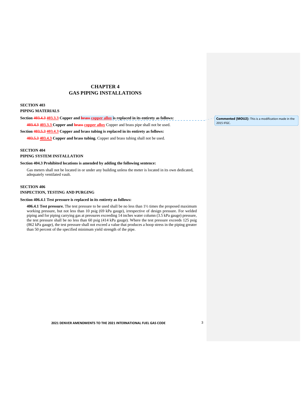# **CHAPTER 4 GAS PIPING INSTALLATIONS**

## **SECTION 403 PIPING MATERIALS**

# PIPING MATERIALS<br>Section 403.4.3 403.3.3 Copper and <mark>brass <u>copper alloy</u> i</mark>s replaced in its entirety as follows:

403.4.3 403.3.3 Copper and **brass copper alloy** Copper and brass pipe shall not be used.

#### **Section 403.5.3 403.4.3 Copper and brass tubing is replaced in its entirety as follows:**

 **403.5.3 403.4.3 Copper and brass tubing.** Copper and brass tubing shall not be used.

## **SECTION 404**

## **PIPING SYSTEM INSTALLATION**

#### **Section 404.3 Prohibited locations is amended by adding the following sentence:**

 Gas meters shall not be located in or under any building unless the meter is located in its own dedicated, adequately ventilated vault.

#### **SECTION 406**

#### **INSPECTION, TESTING AND PURGING**

#### **Section 406.4.1 Test pressure is replaced in its entirety as follows:**

 **406.4.1 Test pressure.** The test pressure to be used shall be no less than 1½ times the proposed maximum working pressure, but not less than 10 psig (69 kPa gauge), irrespective of design pressure. For welded piping and for piping carrying gas at pressures exceeding 14 inches water column (3.5 kPa gauge) pressure, the test pressure shall be no less than 60 psig (414 kPa gauge). Where the test pressure exceeds 125 psig (862 kPa gauge), the test pressure shall not exceed a value that produces a hoop stress in the piping greater than 50 percent of the specified minimum yield strength of the pipe.

 **Commented [MOU2]:** This is a modification made in the 2015 IFGC.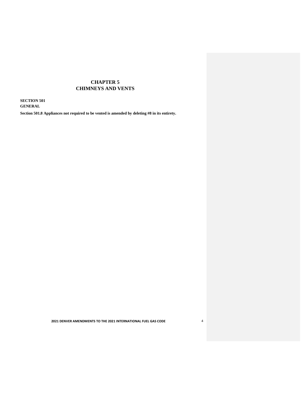# **CHAPTER 5 CHIMNEYS AND VENTS**

 **SECTION 501 GENERAL** 

 **Section 501.8 Appliances not required to be vented is amended by deleting #8 in its entirety.** 

 **2021 DENVER AMENDMENTS TO THE 2021 INTERNATIONAL FUEL GAS CODE** 4